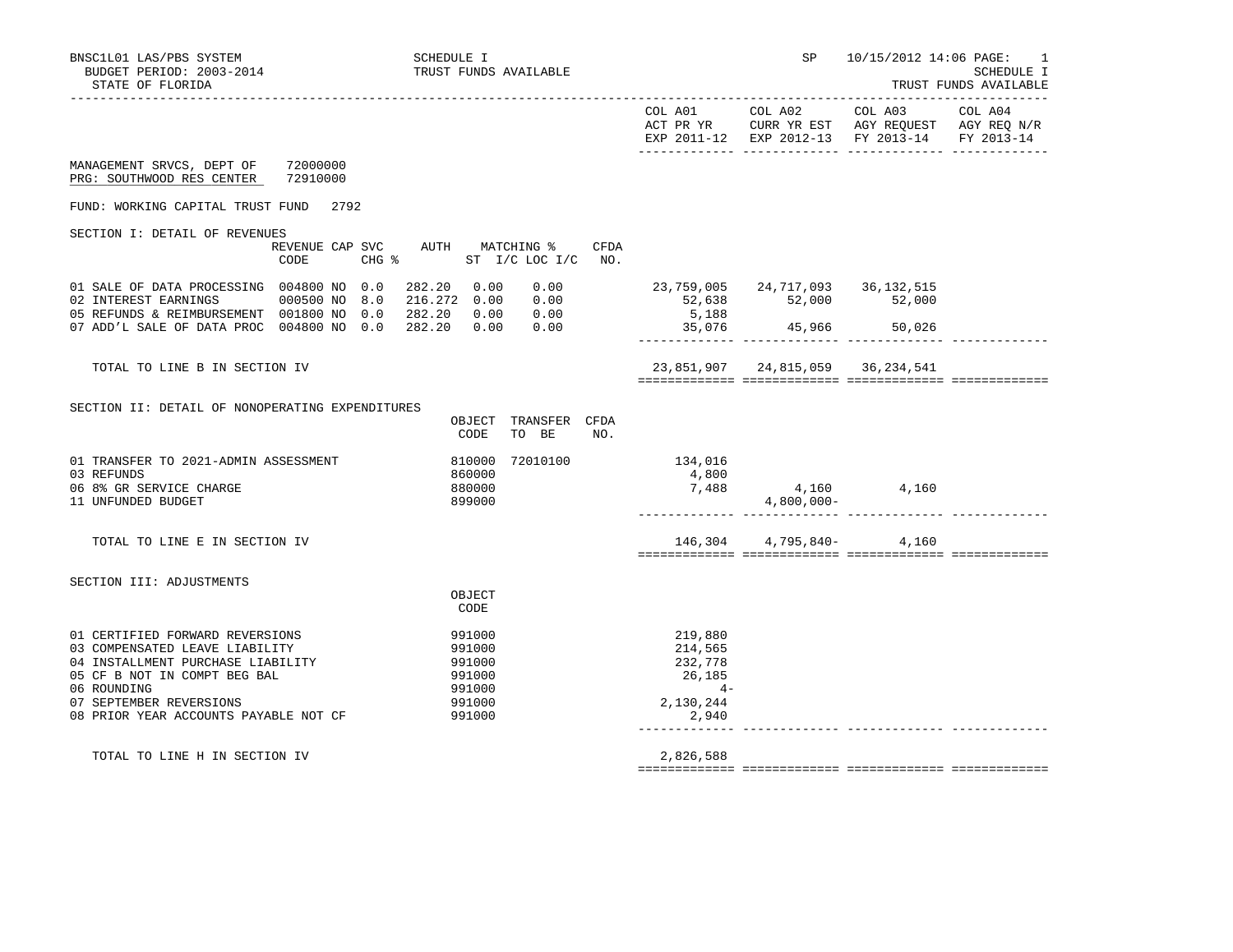| BNSC1L01 LAS/PBS SYSTEM<br>BUDGET PERIOD: 2003-2014<br>STATE OF FLORIDA                                         | <b>SCHEDULE I</b>          | TRUST FUNDS AVAILABLE                                       |                               |                                           | SP and the set of the set of the set of the set of the set of the set of the set of the set of the set of the s | 10/15/2012 14:06 PAGE:                        | -1<br>SCHEDULE I<br>TRUST FUNDS AVAILABLE |
|-----------------------------------------------------------------------------------------------------------------|----------------------------|-------------------------------------------------------------|-------------------------------|-------------------------------------------|-----------------------------------------------------------------------------------------------------------------|-----------------------------------------------|-------------------------------------------|
|                                                                                                                 |                            |                                                             |                               |                                           |                                                                                                                 | EXP 2011-12 EXP 2012-13 FY 2013-14 FY 2013-14 |                                           |
| MANAGEMENT SRVCS, DEPT OF 72000000<br>PRG: SOUTHWOOD RES CENTER                                                 | 72910000                   |                                                             |                               |                                           |                                                                                                                 |                                               |                                           |
| FUND: WORKING CAPITAL TRUST FUND 2792                                                                           |                            |                                                             |                               |                                           |                                                                                                                 |                                               |                                           |
| SECTION I: DETAIL OF REVENUES                                                                                   |                            |                                                             |                               |                                           |                                                                                                                 |                                               |                                           |
|                                                                                                                 | CODE                       | REVENUE CAP SVC AUTH MATCHING %<br>CHG % ST I/C LOC I/C NO. | CFDA                          |                                           |                                                                                                                 |                                               |                                           |
| 01 SALE OF DATA PROCESSING 004800 NO 0.0<br>05 REFUNDS & REIMBURSEMENT 001800 NO 0.0 282.20 0.00 0.00           |                            | 282.20 0.00<br>0.00<br>0.00                                 |                               | 23,759,005 24,717,093 36,132,515<br>5,188 | 52,638 52,000 52,000<br>5,188 52,000                                                                            |                                               |                                           |
| 07 ADD'L SALE OF DATA PROC 004800 NO 0.0 282.20 0.00                                                            |                            | 0.00                                                        |                               | 35,076                                    | 45,966 50,026                                                                                                   |                                               |                                           |
| TOTAL TO LINE B IN SECTION IV                                                                                   |                            |                                                             |                               |                                           | 23,851,907 24,815,059 36,234,541                                                                                |                                               |                                           |
| SECTION II: DETAIL OF NONOPERATING EXPENDITURES                                                                 |                            |                                                             |                               |                                           |                                                                                                                 |                                               |                                           |
|                                                                                                                 |                            | TRANSFER CFDA<br>OBJECT<br>TO BE<br>CODE                    | NO.                           |                                           |                                                                                                                 |                                               |                                           |
| 01 TRANSFER TO 2021-ADMIN ASSESSMENT<br>03 REFUNDS                                                              |                            | 72010100<br>810000<br>860000                                |                               | 134,016<br>4,800                          |                                                                                                                 |                                               |                                           |
| 06 8% GR SERVICE CHARGE<br>11 UNFUNDED BUDGET                                                                   |                            | 880000<br>899000                                            |                               | 7,488                                     | $4,800,000-$                                                                                                    | 4,160 4,160                                   |                                           |
| TOTAL TO LINE E IN SECTION IV                                                                                   |                            |                                                             |                               |                                           | 146,304 4,795,840-                                                                                              | 4,160                                         |                                           |
| SECTION III: ADJUSTMENTS                                                                                        |                            |                                                             |                               |                                           |                                                                                                                 |                                               |                                           |
|                                                                                                                 |                            | OBJECT<br>CODE                                              |                               |                                           |                                                                                                                 |                                               |                                           |
| 01 CERTIFIED FORWARD REVERSIONS<br>03 COMPENSATED LEAVE LIABILITY<br>04 INSTALLMENT PURCHASE LIABILITY          | 991000<br>991000<br>991000 |                                                             | 219,880<br>214,565<br>232,778 |                                           |                                                                                                                 |                                               |                                           |
| 05 CF B NOT IN COMPT BEG BAL<br>06 ROUNDING<br>07 SEPTEMBER REVERSIONS<br>08 PRIOR YEAR ACCOUNTS PAYABLE NOT CF |                            | 991000<br>991000<br>991000<br>991000                        |                               | 26,185<br>$4-$<br>2,130,244<br>2,940      |                                                                                                                 |                                               |                                           |
| TOTAL TO LINE H IN SECTION IV                                                                                   |                            |                                                             |                               | 2,826,588                                 |                                                                                                                 |                                               |                                           |

============= ============= ============= =============